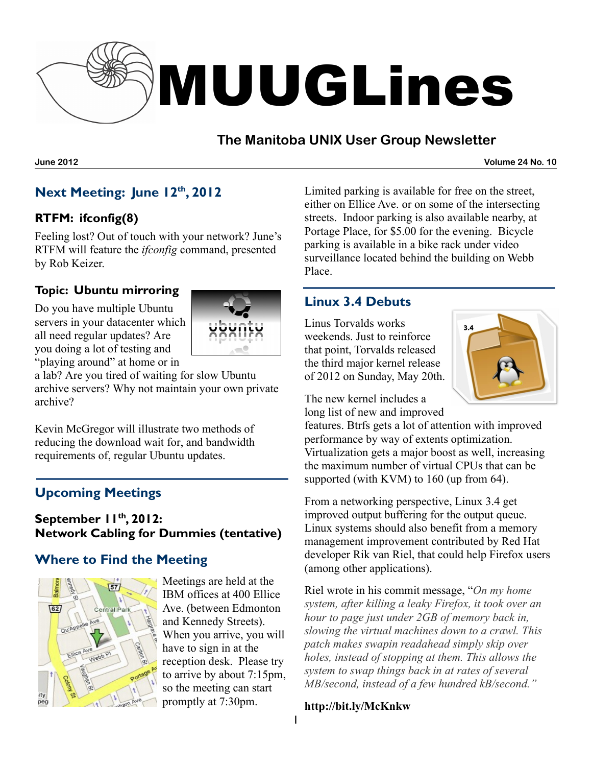

# **The Manitoba UNIX User Group Newsletter**

**June 2012 Volume 24 No. 10**

## **Next Meeting: June 12 th , 2012**

#### **RTFM: ifconfig(8)**

Feeling lost? Out of touch with your network? June's RTFM will feature the *ifconfig* command, presented by Rob Keizer.

#### **Topic: Ubuntu mirroring**

Do you have multiple Ubuntu servers in your datacenter which all need regular updates? Are you doing a lot of testing and "playing around" at home or in



a lab? Are you tired of waiting for slow Ubuntu archive servers? Why not maintain your own private archive?

Kevin McGregor will illustrate two methods of reducing the download wait for, and bandwidth requirements of, regular Ubuntu updates.

# **Upcoming Meetings**

#### **September 11 th , 2012: Network Cabling for Dummies (tentative)**

### **Where to Find the Meeting**



Meetings are held at the IBM offices at 400 Ellice Ave. (between Edmonton and Kennedy Streets). When you arrive, you will have to sign in at the reception desk. Please try to arrive by about 7:15pm, so the meeting can start promptly at 7:30pm.

Limited parking is available for free on the street, either on Ellice Ave. or on some of the intersecting streets. Indoor parking is also available nearby, at Portage Place, for \$5.00 for the evening. Bicycle parking is available in a bike rack under video surveillance located behind the building on Webb Place.

## **Linux 3.4 Debuts**

Linus Torvalds works weekends. Just to reinforce that point, Torvalds released the third major kernel release of 2012 on Sunday, May 20th.



The new kernel includes a long list of new and improved

features. Btrfs gets a lot of attention with improved performance by way of extents optimization. Virtualization gets a major boost as well, increasing the maximum number of virtual CPUs that can be supported (with KVM) to 160 (up from 64).

From a networking perspective, Linux 3.4 get improved output buffering for the output queue. Linux systems should also benefit from a memory management improvement contributed by Red Hat developer Rik van Riel, that could help Firefox users (among other applications).

Riel wrote in his commit message, "*On my home system, after killing a leaky Firefox, it took over an hour to page just under 2GB of memory back in, slowing the virtual machines down to a crawl. This patch makes swapin readahead simply skip over holes, instead of stopping at them. This allows the system to swap things back in at rates of several MB/second, instead of a few hundred kB/second."*

#### **http://bit.ly/McKnkw**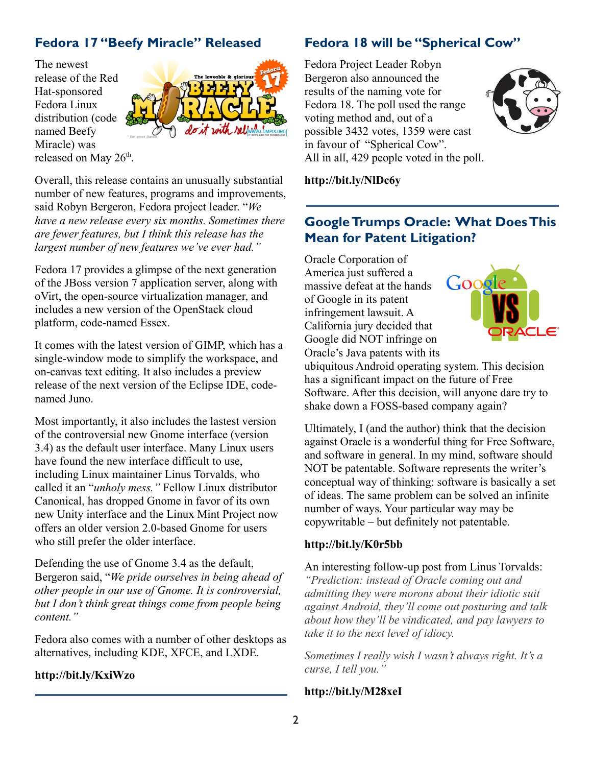## **Fedora 17 "Beefy Miracle" Released**

The newest release of the Red Hat-sponsored Fedora Linux distribution (code named Beefy Miracle) was released on May 26<sup>th</sup>.



Overall, this release contains an unusually substantial number of new features, programs and improvements, said Robyn Bergeron, Fedora project leader. "*We have a new release every six months. Sometimes there are fewer features, but I think this release has the largest number of new features we've ever had."*

Fedora 17 provides a glimpse of the next generation of the JBoss version 7 application server, along with oVirt, the open-source virtualization manager, and includes a new version of the OpenStack cloud platform, code-named Essex.

It comes with the latest version of GIMP, which has a single-window mode to simplify the workspace, and on-canvas text editing. It also includes a preview release of the next version of the Eclipse IDE, codenamed Juno.

Most importantly, it also includes the lastest version of the controversial new Gnome interface (version 3.4) as the default user interface. Many Linux users have found the new interface difficult to use, including Linux maintainer Linus Torvalds, who called it an "*unholy mess."* Fellow Linux distributor Canonical, has dropped Gnome in favor of its own new Unity interface and the Linux Mint Project now offers an older version 2.0-based Gnome for users who still prefer the older interface.

Defending the use of Gnome 3.4 as the default, Bergeron said, "*We pride ourselves in being ahead of other people in our use of Gnome. It is controversial, but I don't think great things come from people being content."*

Fedora also comes with a number of other desktops as alternatives, including KDE, XFCE, and LXDE.

#### **http://bit.ly/KxiWzo**

### **Fedora 18 will be "Spherical Cow"**

Fedora Project Leader Robyn Bergeron also announced the results of the naming vote for Fedora 18. The poll used the range voting method and, out of a possible 3432 votes, 1359 were cast in favour of "Spherical Cow". All in all, 429 people voted in the poll.



**<http://bit.ly/NlDc6y>**

## **GoogleTrumps Oracle: What DoesThis Mean for Patent Litigation?**

Oracle Corporation of America just suffered a massive defeat at the hands of Google in its patent infringement lawsuit. A California jury decided that Google did NOT infringe on Oracle's Java patents with its



ubiquitous Android operating system. This decision has a significant impact on the future of Free Software. After this decision, will anyone dare try to shake down a FOSS-based company again?

Ultimately, I (and the author) think that the decision against Oracle is a wonderful thing for Free Software, and software in general. In my mind, software should NOT be patentable. Software represents the writer's conceptual way of thinking: software is basically a set of ideas. The same problem can be solved an infinite number of ways. Your particular way may be copywritable – but definitely not patentable.

#### **http://bit.ly/K0r5bb**

An interesting follow-up post from Linus Torvalds: *"Prediction: instead of Oracle coming out and admitting they were morons about their idiotic suit against Android, they'll come out posturing and talk about how they'll be vindicated, and pay lawyers to take it to the next level of idiocy.* 

*Sometimes I really wish I wasn't always right. It's a curse, I tell you."*

#### **<http://bit.ly/M28xeI>**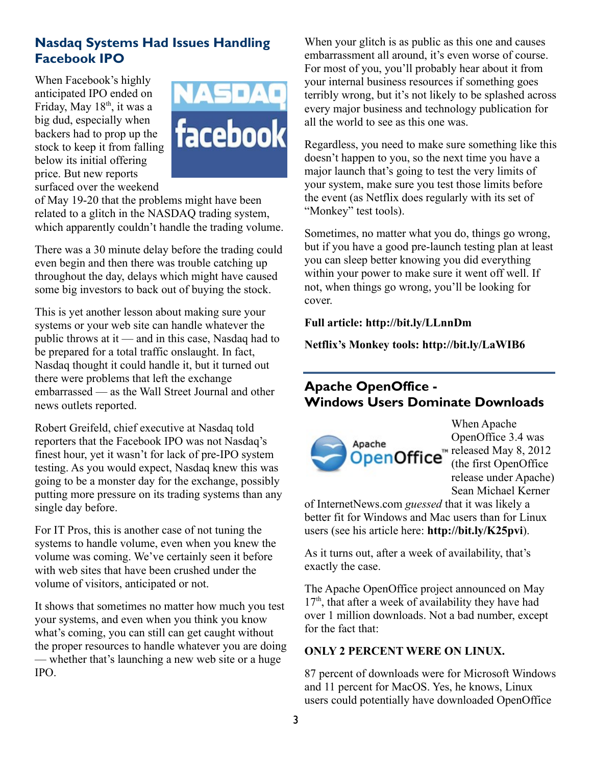## **Nasdaq Systems Had Issues Handling Facebook IPO**

When Facebook's highly anticipated IPO ended on Friday, May 18<sup>th</sup>, it was a big dud, especially when backers had to prop up the stock to keep it from falling below its initial offering price. But new reports surfaced over the weekend



of May 19-20 that the problems might have been related to a glitch in the NASDAQ trading system, which apparently couldn't handle the trading volume.

There was a 30 minute delay before the trading could even begin and then there was trouble catching up throughout the day, delays which might have caused some big investors to back out of buying the stock.

This is yet another lesson about making sure your systems or your web site can handle whatever the public throws at it — and in this case, Nasdaq had to be prepared for a total traffic onslaught. In fact, Nasdaq thought it could handle it, but it turned out there were problems that left the exchange embarrassed — as the Wall Street Journal and other news outlets reported.

Robert Greifeld, chief executive at Nasdaq told reporters that the Facebook IPO was not Nasdaq's finest hour, yet it wasn't for lack of pre-IPO system testing. As you would expect, Nasdaq knew this was going to be a monster day for the exchange, possibly putting more pressure on its trading systems than any single day before.

For IT Pros, this is another case of not tuning the systems to handle volume, even when you knew the volume was coming. We've certainly seen it before with web sites that have been crushed under the volume of visitors, anticipated or not.

It shows that sometimes no matter how much you test your systems, and even when you think you know what's coming, you can still can get caught without the proper resources to handle whatever you are doing — whether that's launching a new web site or a huge IPO.

When your glitch is as public as this one and causes embarrassment all around, it's even worse of course. For most of you, you'll probably hear about it from your internal business resources if something goes terribly wrong, but it's not likely to be splashed across every major business and technology publication for all the world to see as this one was.

Regardless, you need to make sure something like this doesn't happen to you, so the next time you have a major launch that's going to test the very limits of your system, make sure you test those limits before the event (as Netflix does regularly with its set of "Monkey" test tools).

Sometimes, no matter what you do, things go wrong, but if you have a good pre-launch testing plan at least you can sleep better knowing you did everything within your power to make sure it went off well. If not, when things go wrong, you'll be looking for cover.

**Full article:<http://bit.ly/LLnnDm>**

**Netflix's Monkey tools: <http://bit.ly/LaWIB6>**

# **Apache OpenOffice - Windows Users Dominate Downloads**



When Apache OpenOffice 3.4 was released May 8, 2012 (the first OpenOffice release under Apache) Sean Michael Kerner

of InternetNews.com *guessed* that it was likely a better fit for Windows and Mac users than for Linux users (see his article here: **<http://bit.ly/K25pvi>**).

As it turns out, after a week of availability, that's exactly the case.

The Apache OpenOffice project announced on May  $17<sup>th</sup>$ , that after a week of availability they have had over 1 million downloads. Not a bad number, except for the fact that:

#### **ONLY 2 PERCENT WERE ON LINUX.**

87 percent of downloads were for Microsoft Windows and 11 percent for MacOS. Yes, he knows, Linux users could potentially have downloaded OpenOffice